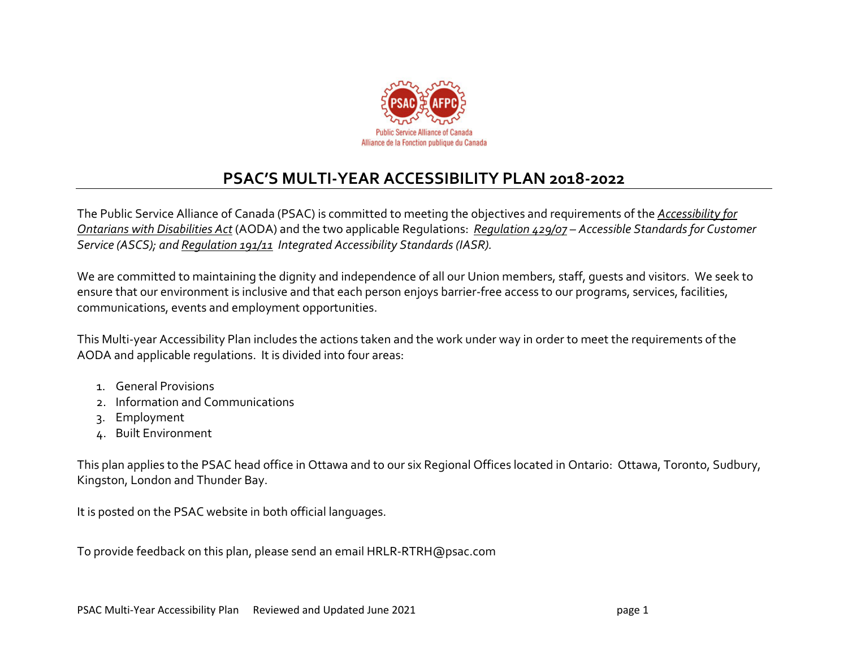

## **PSAC'S MULTI-YEAR ACCESSIBILITY PLAN 2018-2022**

The Public Service Alliance of Canada (PSAC) is committed to meeting the objectives and requirements of the *[Accessibility for](http://www.ontario.ca/laws/statute/05a11)  [Ontarians with Disabilities Act](http://www.ontario.ca/laws/statute/05a11)* (AODA) and the two applicable Regulations: *[Regulation 429/07](http://www.ontario.ca/laws/regulation/070429) – Accessible Standards for Customer Service (ASCS); an[d Regulation 191/11](http://www.ontario.ca/laws/regulation/110191) Integrated Accessibility Standards (IASR).*

We are committed to maintaining the dignity and independence of all our Union members, staff, guests and visitors. We seek to ensure that our environment is inclusive and that each person enjoys barrier-free access to our programs, services, facilities, communications, events and employment opportunities.

This Multi-year Accessibility Plan includes the actions taken and the work under way in order to meet the requirements of the AODA and applicable regulations. It is divided into four areas:

- 1. General Provisions
- 2. Information and Communications
- 3. Employment
- 4. Built Environment

This plan applies to the PSAC head office in Ottawa and to our six Regional Offices located in Ontario: Ottawa, Toronto, Sudbury, Kingston, London and Thunder Bay.

It is posted on the PSAC website in both official languages.

To provide feedback on this plan, please send an email HRLR-RTRH@psac.com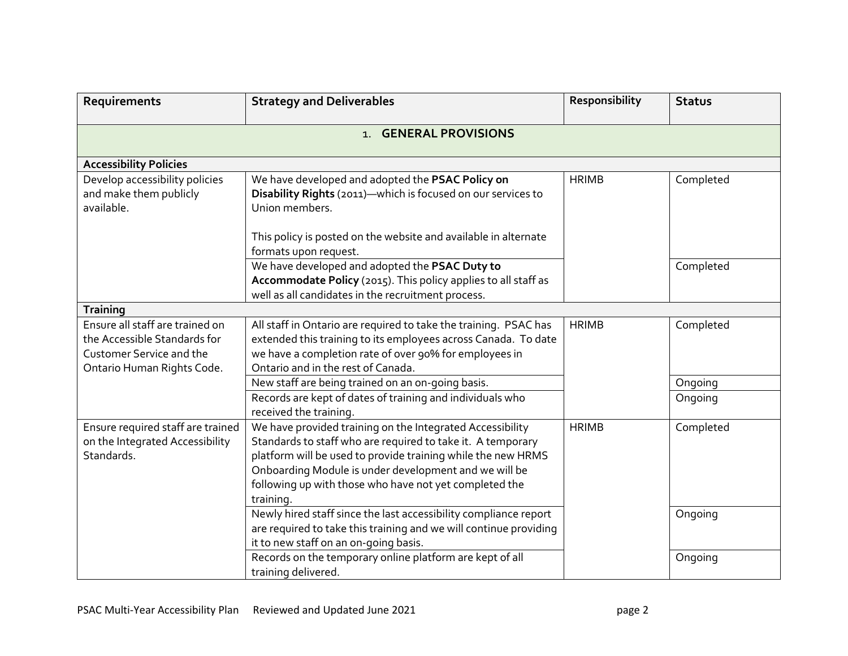| Requirements                                                                                                                     | <b>Strategy and Deliverables</b>                                                                                                                                                                                                                                                                                         | Responsibility | <b>Status</b> |  |
|----------------------------------------------------------------------------------------------------------------------------------|--------------------------------------------------------------------------------------------------------------------------------------------------------------------------------------------------------------------------------------------------------------------------------------------------------------------------|----------------|---------------|--|
| 1. GENERAL PROVISIONS                                                                                                            |                                                                                                                                                                                                                                                                                                                          |                |               |  |
| <b>Accessibility Policies</b>                                                                                                    |                                                                                                                                                                                                                                                                                                                          |                |               |  |
| Develop accessibility policies<br>and make them publicly<br>available.                                                           | We have developed and adopted the PSAC Policy on<br>Disability Rights (2011)-which is focused on our services to<br>Union members.                                                                                                                                                                                       | <b>HRIMB</b>   | Completed     |  |
|                                                                                                                                  | This policy is posted on the website and available in alternate<br>formats upon request.                                                                                                                                                                                                                                 |                |               |  |
|                                                                                                                                  | We have developed and adopted the PSAC Duty to<br>Accommodate Policy (2015). This policy applies to all staff as<br>well as all candidates in the recruitment process.                                                                                                                                                   |                | Completed     |  |
| Training                                                                                                                         |                                                                                                                                                                                                                                                                                                                          |                |               |  |
| Ensure all staff are trained on<br>the Accessible Standards for<br><b>Customer Service and the</b><br>Ontario Human Rights Code. | All staff in Ontario are required to take the training. PSAC has<br>extended this training to its employees across Canada. To date<br>we have a completion rate of over 90% for employees in<br>Ontario and in the rest of Canada.                                                                                       | <b>HRIMB</b>   | Completed     |  |
|                                                                                                                                  | New staff are being trained on an on-going basis.                                                                                                                                                                                                                                                                        |                | Ongoing       |  |
|                                                                                                                                  | Records are kept of dates of training and individuals who<br>received the training.                                                                                                                                                                                                                                      |                | Ongoing       |  |
| Ensure required staff are trained<br>on the Integrated Accessibility<br>Standards.                                               | We have provided training on the Integrated Accessibility<br>Standards to staff who are required to take it. A temporary<br>platform will be used to provide training while the new HRMS<br>Onboarding Module is under development and we will be<br>following up with those who have not yet completed the<br>training. | <b>HRIMB</b>   | Completed     |  |
|                                                                                                                                  | Newly hired staff since the last accessibility compliance report<br>are required to take this training and we will continue providing<br>it to new staff on an on-going basis.                                                                                                                                           |                | Ongoing       |  |
|                                                                                                                                  | Records on the temporary online platform are kept of all<br>training delivered.                                                                                                                                                                                                                                          |                | Ongoing       |  |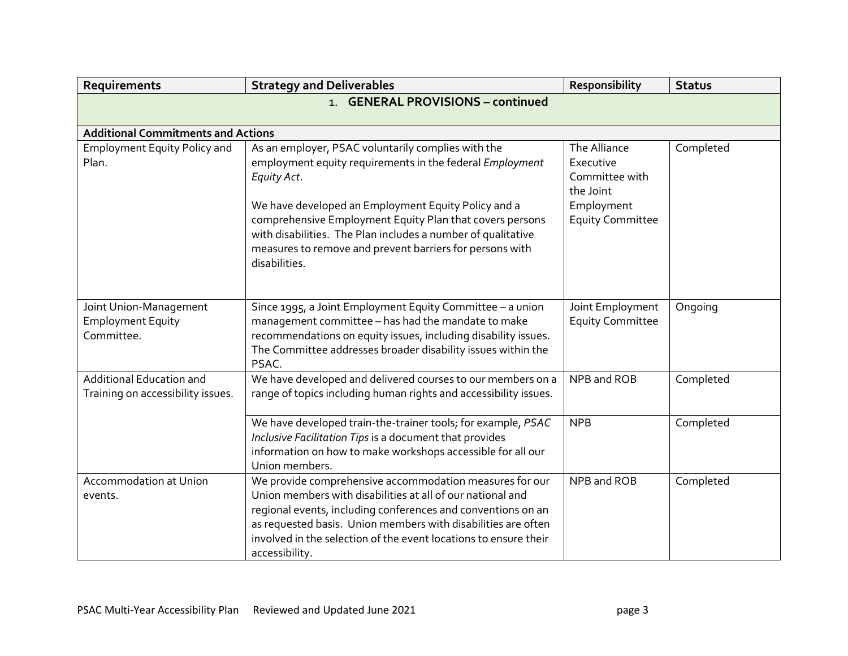| Requirements                                                         | <b>Strategy and Deliverables</b>                                                                                                                                                                                                                                                                                                             | Responsibility                                           | <b>Status</b> |
|----------------------------------------------------------------------|----------------------------------------------------------------------------------------------------------------------------------------------------------------------------------------------------------------------------------------------------------------------------------------------------------------------------------------------|----------------------------------------------------------|---------------|
|                                                                      | <b>GENERAL PROVISIONS - continued</b><br>1.                                                                                                                                                                                                                                                                                                  |                                                          |               |
|                                                                      |                                                                                                                                                                                                                                                                                                                                              |                                                          |               |
| <b>Additional Commitments and Actions</b>                            |                                                                                                                                                                                                                                                                                                                                              |                                                          |               |
| <b>Employment Equity Policy and</b><br>Plan.                         | As an employer, PSAC voluntarily complies with the<br>employment equity requirements in the federal Employment<br>Equity Act.                                                                                                                                                                                                                | The Alliance<br>Executive<br>Committee with<br>the Joint | Completed     |
|                                                                      | We have developed an Employment Equity Policy and a<br>comprehensive Employment Equity Plan that covers persons<br>with disabilities. The Plan includes a number of qualitative<br>measures to remove and prevent barriers for persons with<br>disabilities.                                                                                 | Employment<br><b>Equity Committee</b>                    |               |
| Joint Union-Management<br><b>Employment Equity</b><br>Committee.     | Since 1995, a Joint Employment Equity Committee - a union<br>management committee - has had the mandate to make<br>recommendations on equity issues, including disability issues.<br>The Committee addresses broader disability issues within the<br>PSAC.                                                                                   | Joint Employment<br><b>Equity Committee</b>              | Ongoing       |
| <b>Additional Education and</b><br>Training on accessibility issues. | We have developed and delivered courses to our members on a<br>range of topics including human rights and accessibility issues.                                                                                                                                                                                                              | NPB and ROB                                              | Completed     |
|                                                                      | We have developed train-the-trainer tools; for example, PSAC<br>Inclusive Facilitation Tips is a document that provides<br>information on how to make workshops accessible for all our<br>Union members.                                                                                                                                     | <b>NPB</b>                                               | Completed     |
| <b>Accommodation at Union</b><br>events.                             | We provide comprehensive accommodation measures for our<br>Union members with disabilities at all of our national and<br>regional events, including conferences and conventions on an<br>as requested basis. Union members with disabilities are often<br>involved in the selection of the event locations to ensure their<br>accessibility. | NPB and ROB                                              | Completed     |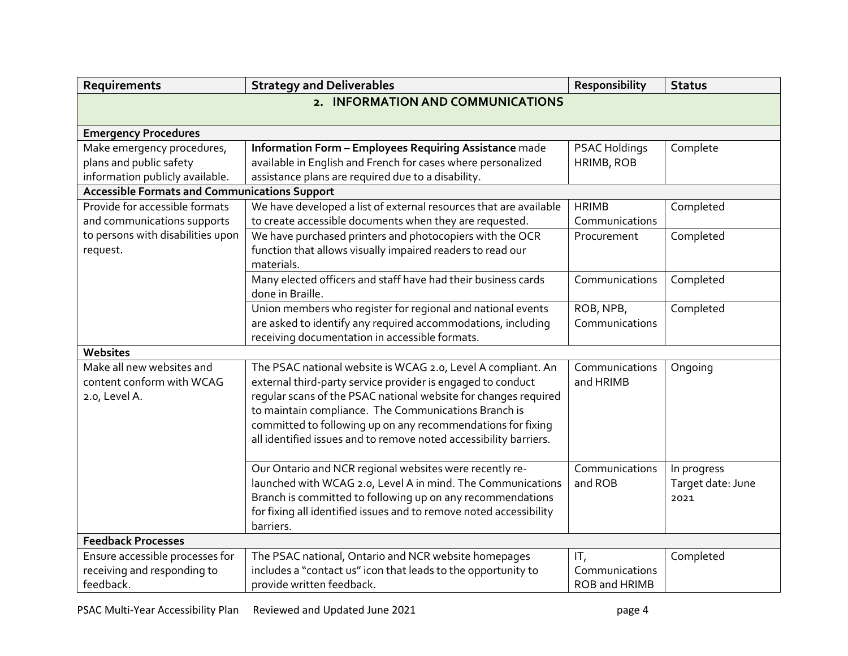| 2. INFORMATION AND COMMUNICATIONS<br><b>Emergency Procedures</b><br>Make emergency procedures,<br>Information Form - Employees Requiring Assistance made<br>PSAC Holdings<br>Complete<br>plans and public safety<br>available in English and French for cases where personalized<br>HRIMB, ROB<br>information publicly available.<br>assistance plans are required due to a disability.<br><b>Accessible Formats and Communications Support</b><br>Provide for accessible formats<br>We have developed a list of external resources that are available<br><b>HRIMB</b><br>Completed<br>to create accessible documents when they are requested.<br>and communications supports<br>Communications<br>to persons with disabilities upon<br>We have purchased printers and photocopiers with the OCR<br>Completed<br>Procurement<br>function that allows visually impaired readers to read our<br>request.<br>materials. |  |  |  |
|----------------------------------------------------------------------------------------------------------------------------------------------------------------------------------------------------------------------------------------------------------------------------------------------------------------------------------------------------------------------------------------------------------------------------------------------------------------------------------------------------------------------------------------------------------------------------------------------------------------------------------------------------------------------------------------------------------------------------------------------------------------------------------------------------------------------------------------------------------------------------------------------------------------------|--|--|--|
|                                                                                                                                                                                                                                                                                                                                                                                                                                                                                                                                                                                                                                                                                                                                                                                                                                                                                                                      |  |  |  |
|                                                                                                                                                                                                                                                                                                                                                                                                                                                                                                                                                                                                                                                                                                                                                                                                                                                                                                                      |  |  |  |
|                                                                                                                                                                                                                                                                                                                                                                                                                                                                                                                                                                                                                                                                                                                                                                                                                                                                                                                      |  |  |  |
|                                                                                                                                                                                                                                                                                                                                                                                                                                                                                                                                                                                                                                                                                                                                                                                                                                                                                                                      |  |  |  |
|                                                                                                                                                                                                                                                                                                                                                                                                                                                                                                                                                                                                                                                                                                                                                                                                                                                                                                                      |  |  |  |
|                                                                                                                                                                                                                                                                                                                                                                                                                                                                                                                                                                                                                                                                                                                                                                                                                                                                                                                      |  |  |  |
|                                                                                                                                                                                                                                                                                                                                                                                                                                                                                                                                                                                                                                                                                                                                                                                                                                                                                                                      |  |  |  |
|                                                                                                                                                                                                                                                                                                                                                                                                                                                                                                                                                                                                                                                                                                                                                                                                                                                                                                                      |  |  |  |
|                                                                                                                                                                                                                                                                                                                                                                                                                                                                                                                                                                                                                                                                                                                                                                                                                                                                                                                      |  |  |  |
|                                                                                                                                                                                                                                                                                                                                                                                                                                                                                                                                                                                                                                                                                                                                                                                                                                                                                                                      |  |  |  |
|                                                                                                                                                                                                                                                                                                                                                                                                                                                                                                                                                                                                                                                                                                                                                                                                                                                                                                                      |  |  |  |
|                                                                                                                                                                                                                                                                                                                                                                                                                                                                                                                                                                                                                                                                                                                                                                                                                                                                                                                      |  |  |  |
| Many elected officers and staff have had their business cards<br>Communications<br>Completed                                                                                                                                                                                                                                                                                                                                                                                                                                                                                                                                                                                                                                                                                                                                                                                                                         |  |  |  |
| done in Braille.                                                                                                                                                                                                                                                                                                                                                                                                                                                                                                                                                                                                                                                                                                                                                                                                                                                                                                     |  |  |  |
| Union members who register for regional and national events<br>ROB, NPB,<br>Completed                                                                                                                                                                                                                                                                                                                                                                                                                                                                                                                                                                                                                                                                                                                                                                                                                                |  |  |  |
| are asked to identify any required accommodations, including<br>Communications                                                                                                                                                                                                                                                                                                                                                                                                                                                                                                                                                                                                                                                                                                                                                                                                                                       |  |  |  |
| receiving documentation in accessible formats.                                                                                                                                                                                                                                                                                                                                                                                                                                                                                                                                                                                                                                                                                                                                                                                                                                                                       |  |  |  |
| Websites                                                                                                                                                                                                                                                                                                                                                                                                                                                                                                                                                                                                                                                                                                                                                                                                                                                                                                             |  |  |  |
| Make all new websites and<br>The PSAC national website is WCAG 2.0, Level A compliant. An<br>Communications<br>Ongoing                                                                                                                                                                                                                                                                                                                                                                                                                                                                                                                                                                                                                                                                                                                                                                                               |  |  |  |
| content conform with WCAG<br>external third-party service provider is engaged to conduct<br>and HRIMB                                                                                                                                                                                                                                                                                                                                                                                                                                                                                                                                                                                                                                                                                                                                                                                                                |  |  |  |
| regular scans of the PSAC national website for changes required<br>2.0, Level A.                                                                                                                                                                                                                                                                                                                                                                                                                                                                                                                                                                                                                                                                                                                                                                                                                                     |  |  |  |
| to maintain compliance. The Communications Branch is                                                                                                                                                                                                                                                                                                                                                                                                                                                                                                                                                                                                                                                                                                                                                                                                                                                                 |  |  |  |
| committed to following up on any recommendations for fixing                                                                                                                                                                                                                                                                                                                                                                                                                                                                                                                                                                                                                                                                                                                                                                                                                                                          |  |  |  |
| all identified issues and to remove noted accessibility barriers.                                                                                                                                                                                                                                                                                                                                                                                                                                                                                                                                                                                                                                                                                                                                                                                                                                                    |  |  |  |
|                                                                                                                                                                                                                                                                                                                                                                                                                                                                                                                                                                                                                                                                                                                                                                                                                                                                                                                      |  |  |  |
| Our Ontario and NCR regional websites were recently re-<br>Communications<br>In progress                                                                                                                                                                                                                                                                                                                                                                                                                                                                                                                                                                                                                                                                                                                                                                                                                             |  |  |  |
| launched with WCAG 2.0, Level A in mind. The Communications<br>and ROB<br>Target date: June                                                                                                                                                                                                                                                                                                                                                                                                                                                                                                                                                                                                                                                                                                                                                                                                                          |  |  |  |
| Branch is committed to following up on any recommendations<br>2021                                                                                                                                                                                                                                                                                                                                                                                                                                                                                                                                                                                                                                                                                                                                                                                                                                                   |  |  |  |
| for fixing all identified issues and to remove noted accessibility                                                                                                                                                                                                                                                                                                                                                                                                                                                                                                                                                                                                                                                                                                                                                                                                                                                   |  |  |  |
| barriers.                                                                                                                                                                                                                                                                                                                                                                                                                                                                                                                                                                                                                                                                                                                                                                                                                                                                                                            |  |  |  |
| <b>Feedback Processes</b>                                                                                                                                                                                                                                                                                                                                                                                                                                                                                                                                                                                                                                                                                                                                                                                                                                                                                            |  |  |  |
| Ensure accessible processes for<br>The PSAC national, Ontario and NCR website homepages<br>Completed<br>IT,                                                                                                                                                                                                                                                                                                                                                                                                                                                                                                                                                                                                                                                                                                                                                                                                          |  |  |  |
| receiving and responding to<br>includes a "contact us" icon that leads to the opportunity to<br>Communications                                                                                                                                                                                                                                                                                                                                                                                                                                                                                                                                                                                                                                                                                                                                                                                                       |  |  |  |
| feedback.<br>provide written feedback.<br>ROB and HRIMB                                                                                                                                                                                                                                                                                                                                                                                                                                                                                                                                                                                                                                                                                                                                                                                                                                                              |  |  |  |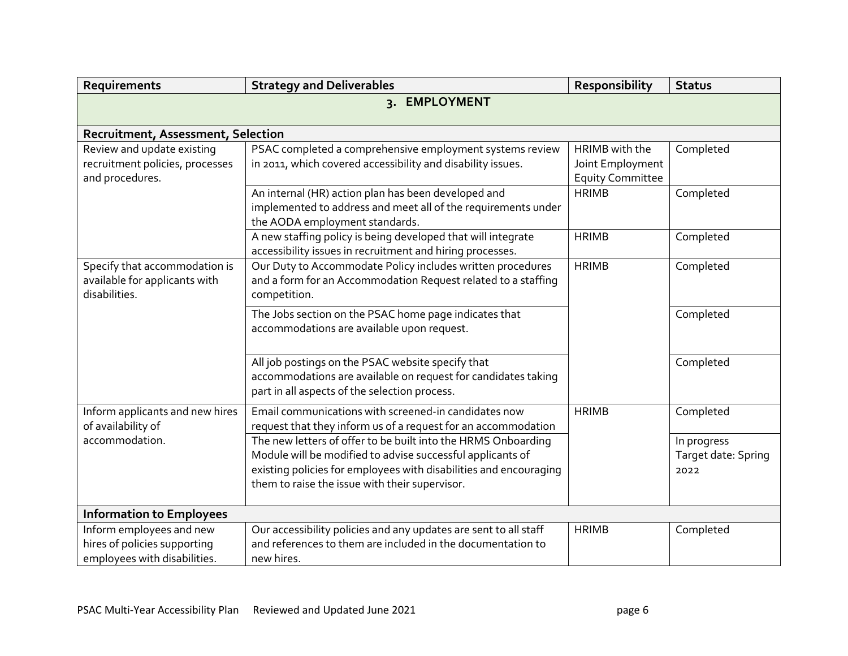| Requirements                                                     | <b>Strategy and Deliverables</b>                                  | Responsibility          | <b>Status</b>       |
|------------------------------------------------------------------|-------------------------------------------------------------------|-------------------------|---------------------|
|                                                                  | 3. EMPLOYMENT                                                     |                         |                     |
|                                                                  |                                                                   |                         |                     |
| Recruitment, Assessment, Selection<br>Review and update existing | PSAC completed a comprehensive employment systems review          | HRIMB with the          | Completed           |
| recruitment policies, processes                                  | in 2011, which covered accessibility and disability issues.       | Joint Employment        |                     |
| and procedures.                                                  |                                                                   | <b>Equity Committee</b> |                     |
|                                                                  | An internal (HR) action plan has been developed and               | <b>HRIMB</b>            | Completed           |
|                                                                  | implemented to address and meet all of the requirements under     |                         |                     |
|                                                                  | the AODA employment standards.                                    |                         |                     |
|                                                                  | A new staffing policy is being developed that will integrate      | <b>HRIMB</b>            | Completed           |
|                                                                  | accessibility issues in recruitment and hiring processes.         |                         |                     |
| Specify that accommodation is                                    | Our Duty to Accommodate Policy includes written procedures        | <b>HRIMB</b>            | Completed           |
| available for applicants with                                    | and a form for an Accommodation Request related to a staffing     |                         |                     |
| disabilities.                                                    | competition.                                                      |                         |                     |
|                                                                  | The Jobs section on the PSAC home page indicates that             |                         | Completed           |
|                                                                  | accommodations are available upon request.                        |                         |                     |
|                                                                  |                                                                   |                         |                     |
|                                                                  | All job postings on the PSAC website specify that                 |                         | Completed           |
|                                                                  | accommodations are available on request for candidates taking     |                         |                     |
|                                                                  | part in all aspects of the selection process.                     |                         |                     |
| Inform applicants and new hires                                  | Email communications with screened-in candidates now              | <b>HRIMB</b>            | Completed           |
| of availability of                                               | request that they inform us of a request for an accommodation     |                         |                     |
| accommodation.                                                   | The new letters of offer to be built into the HRMS Onboarding     |                         | In progress         |
|                                                                  | Module will be modified to advise successful applicants of        |                         | Target date: Spring |
|                                                                  | existing policies for employees with disabilities and encouraging |                         | 2022                |
|                                                                  | them to raise the issue with their supervisor.                    |                         |                     |
| <b>Information to Employees</b>                                  |                                                                   |                         |                     |
| Inform employees and new                                         | Our accessibility policies and any updates are sent to all staff  | <b>HRIMB</b>            | Completed           |
| hires of policies supporting                                     | and references to them are included in the documentation to       |                         |                     |
| employees with disabilities.                                     | new hires.                                                        |                         |                     |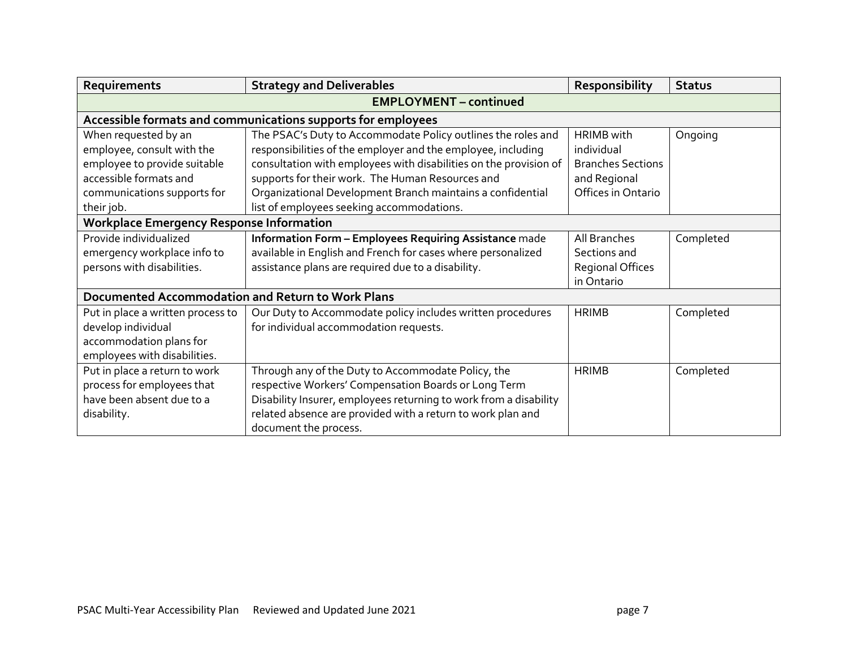| Requirements                                                                                                                                              | <b>Strategy and Deliverables</b>                                                                                                                                                                                                                                                                                                                                 | Responsibility                                                                                    | <b>Status</b> |
|-----------------------------------------------------------------------------------------------------------------------------------------------------------|------------------------------------------------------------------------------------------------------------------------------------------------------------------------------------------------------------------------------------------------------------------------------------------------------------------------------------------------------------------|---------------------------------------------------------------------------------------------------|---------------|
|                                                                                                                                                           | <b>EMPLOYMENT - continued</b>                                                                                                                                                                                                                                                                                                                                    |                                                                                                   |               |
|                                                                                                                                                           | Accessible formats and communications supports for employees                                                                                                                                                                                                                                                                                                     |                                                                                                   |               |
| When requested by an<br>employee, consult with the<br>employee to provide suitable<br>accessible formats and<br>communications supports for<br>their job. | The PSAC's Duty to Accommodate Policy outlines the roles and<br>responsibilities of the employer and the employee, including<br>consultation with employees with disabilities on the provision of<br>supports for their work. The Human Resources and<br>Organizational Development Branch maintains a confidential<br>list of employees seeking accommodations. | <b>HRIMB</b> with<br>individual<br><b>Branches Sections</b><br>and Regional<br>Offices in Ontario | Ongoing       |
| <b>Workplace Emergency Response Information</b>                                                                                                           |                                                                                                                                                                                                                                                                                                                                                                  |                                                                                                   |               |
| Provide individualized<br>emergency workplace info to<br>persons with disabilities.                                                                       | Information Form - Employees Requiring Assistance made<br>available in English and French for cases where personalized<br>assistance plans are required due to a disability.                                                                                                                                                                                     | All Branches<br>Sections and<br>Regional Offices<br>in Ontario                                    | Completed     |
| <b>Documented Accommodation and Return to Work Plans</b>                                                                                                  |                                                                                                                                                                                                                                                                                                                                                                  |                                                                                                   |               |
| Put in place a written process to<br>develop individual<br>accommodation plans for<br>employees with disabilities.                                        | Our Duty to Accommodate policy includes written procedures<br>for individual accommodation requests.                                                                                                                                                                                                                                                             | <b>HRIMB</b>                                                                                      | Completed     |
| Put in place a return to work<br>process for employees that<br>have been absent due to a<br>disability.                                                   | Through any of the Duty to Accommodate Policy, the<br>respective Workers' Compensation Boards or Long Term<br>Disability Insurer, employees returning to work from a disability<br>related absence are provided with a return to work plan and<br>document the process.                                                                                          | <b>HRIMB</b>                                                                                      | Completed     |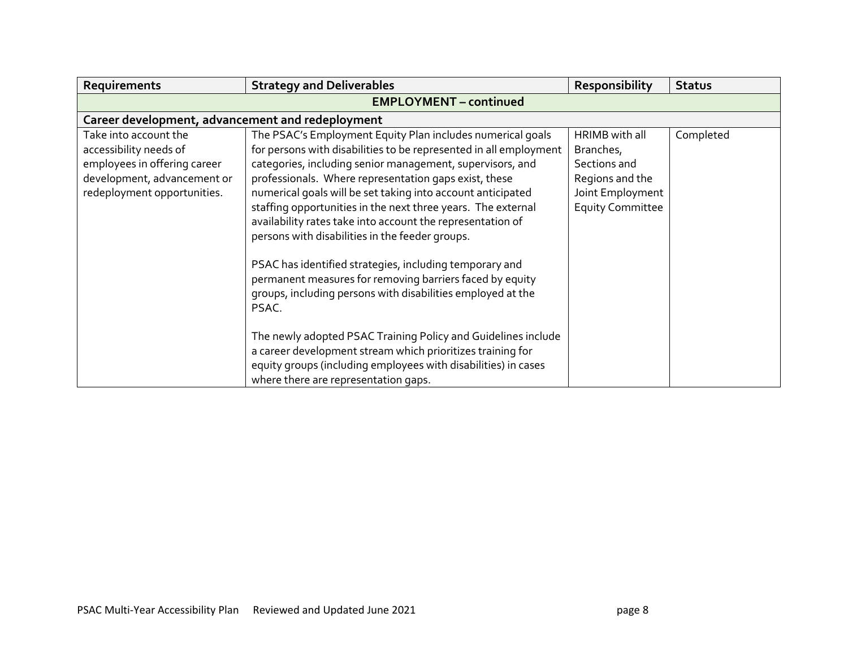| Requirements                                                                                                                                  | <b>Strategy and Deliverables</b>                                                                                                                                                                                                                                                                                                                                                                                                                                                                                                                                                                                                                                                                     | Responsibility                                                                                                | <b>Status</b> |
|-----------------------------------------------------------------------------------------------------------------------------------------------|------------------------------------------------------------------------------------------------------------------------------------------------------------------------------------------------------------------------------------------------------------------------------------------------------------------------------------------------------------------------------------------------------------------------------------------------------------------------------------------------------------------------------------------------------------------------------------------------------------------------------------------------------------------------------------------------------|---------------------------------------------------------------------------------------------------------------|---------------|
| <b>EMPLOYMENT - continued</b>                                                                                                                 |                                                                                                                                                                                                                                                                                                                                                                                                                                                                                                                                                                                                                                                                                                      |                                                                                                               |               |
| Career development, advancement and redeployment                                                                                              |                                                                                                                                                                                                                                                                                                                                                                                                                                                                                                                                                                                                                                                                                                      |                                                                                                               |               |
| Take into account the<br>accessibility needs of<br>employees in offering career<br>development, advancement or<br>redeployment opportunities. | The PSAC's Employment Equity Plan includes numerical goals<br>for persons with disabilities to be represented in all employment<br>categories, including senior management, supervisors, and<br>professionals. Where representation gaps exist, these<br>numerical goals will be set taking into account anticipated<br>staffing opportunities in the next three years. The external<br>availability rates take into account the representation of<br>persons with disabilities in the feeder groups.<br>PSAC has identified strategies, including temporary and<br>permanent measures for removing barriers faced by equity<br>groups, including persons with disabilities employed at the<br>PSAC. | HRIMB with all<br>Branches,<br>Sections and<br>Regions and the<br>Joint Employment<br><b>Equity Committee</b> | Completed     |
|                                                                                                                                               | The newly adopted PSAC Training Policy and Guidelines include<br>a career development stream which prioritizes training for                                                                                                                                                                                                                                                                                                                                                                                                                                                                                                                                                                          |                                                                                                               |               |
|                                                                                                                                               | equity groups (including employees with disabilities) in cases<br>where there are representation gaps.                                                                                                                                                                                                                                                                                                                                                                                                                                                                                                                                                                                               |                                                                                                               |               |